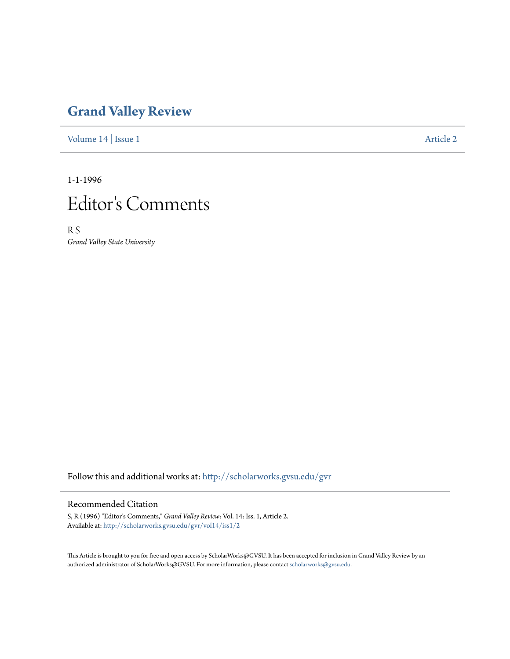## **[Grand Valley Review](http://scholarworks.gvsu.edu/gvr?utm_source=scholarworks.gvsu.edu%2Fgvr%2Fvol14%2Fiss1%2F2&utm_medium=PDF&utm_campaign=PDFCoverPages)**

[Volume 14](http://scholarworks.gvsu.edu/gvr/vol14?utm_source=scholarworks.gvsu.edu%2Fgvr%2Fvol14%2Fiss1%2F2&utm_medium=PDF&utm_campaign=PDFCoverPages) | [Issue 1](http://scholarworks.gvsu.edu/gvr/vol14/iss1?utm_source=scholarworks.gvsu.edu%2Fgvr%2Fvol14%2Fiss1%2F2&utm_medium=PDF&utm_campaign=PDFCoverPages) [Article 2](http://scholarworks.gvsu.edu/gvr/vol14/iss1/2?utm_source=scholarworks.gvsu.edu%2Fgvr%2Fvol14%2Fiss1%2F2&utm_medium=PDF&utm_campaign=PDFCoverPages)

1-1-1996



R S *Grand Valley State University*

Follow this and additional works at: [http://scholarworks.gvsu.edu/gvr](http://scholarworks.gvsu.edu/gvr?utm_source=scholarworks.gvsu.edu%2Fgvr%2Fvol14%2Fiss1%2F2&utm_medium=PDF&utm_campaign=PDFCoverPages)

## Recommended Citation

S, R (1996) "Editor's Comments," *Grand Valley Review*: Vol. 14: Iss. 1, Article 2. Available at: [http://scholarworks.gvsu.edu/gvr/vol14/iss1/2](http://scholarworks.gvsu.edu/gvr/vol14/iss1/2?utm_source=scholarworks.gvsu.edu%2Fgvr%2Fvol14%2Fiss1%2F2&utm_medium=PDF&utm_campaign=PDFCoverPages)

This Article is brought to you for free and open access by ScholarWorks@GVSU. It has been accepted for inclusion in Grand Valley Review by an authorized administrator of ScholarWorks@GVSU. For more information, please contact [scholarworks@gvsu.edu.](mailto:scholarworks@gvsu.edu)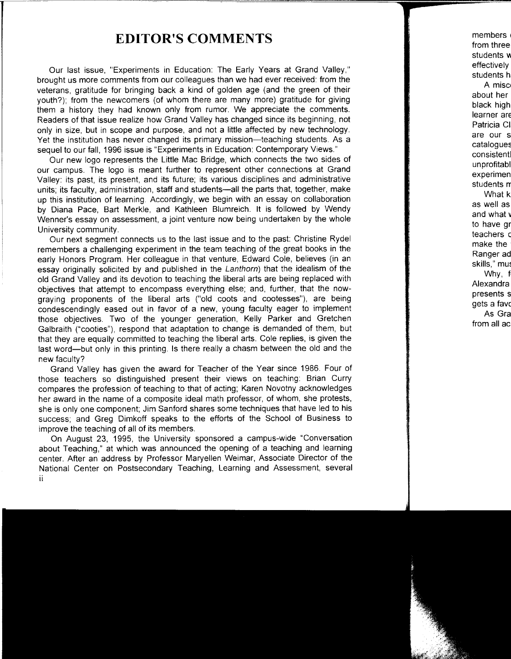## **EDITOR'S COMMENTS**

Our last issue, "Experiments in Education: The Early Years at Grand Valley," brought us more comments from our colleagues than we had ever received: from the veterans, gratitude for bringing back a kind of golden age (and the green of their youth?); from the newcomers (of whom there are many more) gratitude for giving them a history they had known only from rumor. We appreciate the comments. Readers of that issue realize how Grand Valley has changed since its beginning, not only in size, but in scope and purpose, and not a little affected by new technology. Yet the institution has never changed its primary mission-teaching students. As a sequel to our fall, 1996 issue is "Experiments in Education: Contemporary Views."

Our new logo represents the Little Mac Bridge, which connects the two sides of our campus. The logo is meant further to represent other connections at Grand Valley: its past, its present, and its future; its various disciplines and administrative units; its faculty, administration, staff and students-all the parts that, together, make up this institution of learning. Accordingly, we begin with an essay on collaboration by Diana Pace, Bart Merkle, and Kathleen Blumreich. It is followed by Wendy Wenner's essay on assessment, a joint venture now being undertaken by the whole University community.

Our next segment connects us to the last issue and to the past: Christine Rydel remembers a challenging experiment in the team teaching of the great books in the early Honors Program. Her colleague in that venture, Edward Cole, believes (in an essay originally solicited by and published in the Lanthom) that the idealism of the old Grand Valley and its devotion to teaching the liberal arts are being replaced with objectives that attempt to encompass everything else; and, further, that the nowgraying proponents of the liberal arts ("old coots and cootesses"), are being condescendingly eased out in favor of a new, young faculty eager to implement those objectives. Two of the younger generation, Kelly Parker and Gretchen Galbraith ("cooties"), respond that adaptation to change is demanded of them, but that they are equally committed to teaching the liberal arts. Cole replies, is given the last word-but only in this printing. Is there really a chasm between the old and the new faculty?

Grand Valley has given the award for Teacher of the Year since 1986. Four of those teachers so distinguished present their views on teaching: Brian Curry compares the profession of teaching to that of acting; Karen Novotny acknowledges her award in the name of a composite ideal math professor, of whom, she protests, she is only one component; Jim Sanford shares some techniques that have led to his success; and Greg Dimkoff speaks to the efforts of the School of Business to improve the teaching of all of its members.

On August 23, 1995, the University sponsored a campus-wide "Conversation about Teaching," at which was announced the opening of a teaching and learning center. After an address by Professor Maryellen Weimar, Associate Director of the National Center on Postsecondary Teaching, Learning and Assessment, several ii